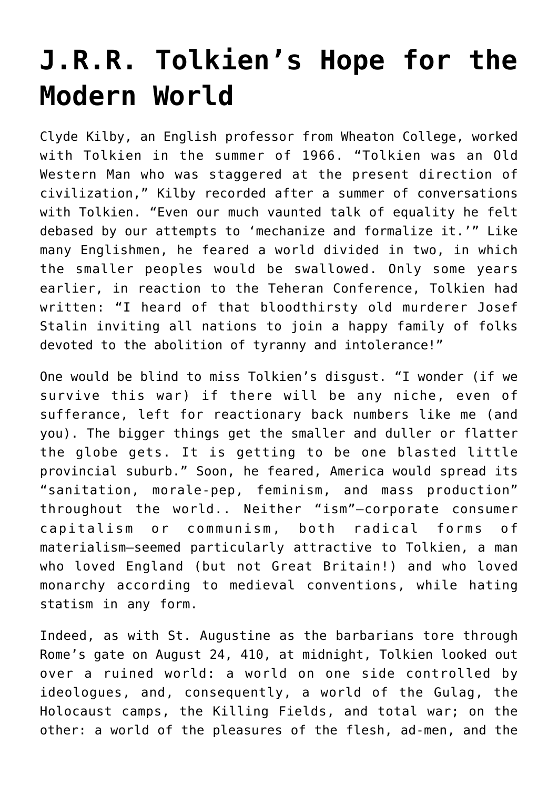## **[J.R.R. Tolkien's Hope for the](https://intellectualtakeout.org/2016/07/j-r-r-tolkiens-hope-for-the-modern-world/) [Modern World](https://intellectualtakeout.org/2016/07/j-r-r-tolkiens-hope-for-the-modern-world/)**

Clyde Kilby, an English professor from Wheaton College, worked with Tolkien in the summer of 1966. "Tolkien was an Old Western Man who was staggered at the present direction of civilization," Kilby recorded after a summer of conversations with Tolkien. "Even our much vaunted talk of equality he felt debased by our attempts to 'mechanize and formalize it.'" Like many Englishmen, he feared a world divided in two, in which the smaller peoples would be swallowed. Only some years earlier, in reaction to the Teheran Conference, Tolkien had written: "I heard of that bloodthirsty old murderer Josef Stalin inviting all nations to join a happy family of folks devoted to the abolition of tyranny and intolerance!"

One would be blind to miss Tolkien's disgust. "I wonder (if we survive this war) if there will be any niche, even of sufferance, left for reactionary back numbers like me (and you). The bigger things get the smaller and duller or flatter the globe gets. It is getting to be one blasted little provincial suburb." Soon, he feared, America would spread its "sanitation, morale-pep, feminism, and mass production" throughout the world.. Neither "ism"—corporate consumer capitalism or communism, both radical forms of materialism—seemed particularly attractive to Tolkien, a man who loved England (but not Great Britain!) and who loved monarchy according to medieval conventions, while hating statism in any form.

Indeed, as with St. Augustine as the barbarians tore through Rome's gate on August 24, 410, at midnight, Tolkien looked out over a ruined world: a world on one side controlled by ideologues, and, consequently, a world of the Gulag, the Holocaust camps, the Killing Fields, and total war; on the other: a world of the pleasures of the flesh, ad-men, and the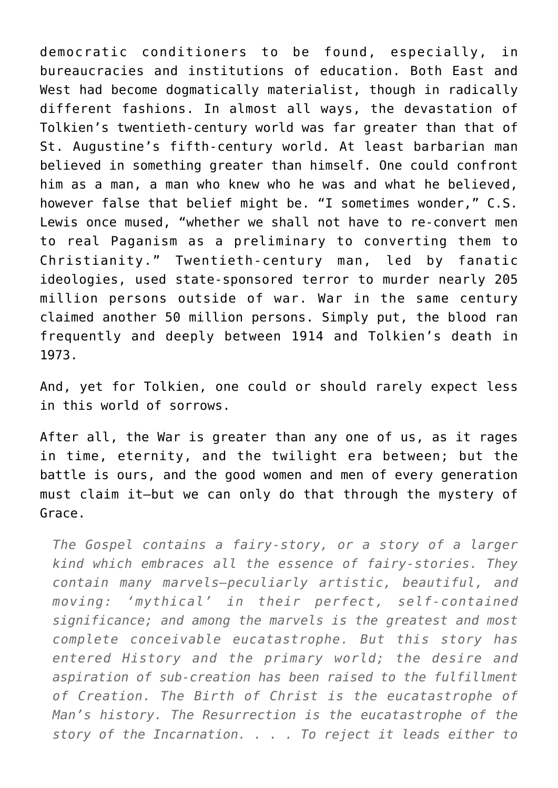democratic conditioners to be found, especially, in bureaucracies and institutions of education. Both East and West had become dogmatically materialist, though in radically different fashions. In almost all ways, the devastation of Tolkien's twentieth-century world was far greater than that of St. Augustine's fifth-century world. At least barbarian man believed in something greater than himself. One could confront him as a man, a man who knew who he was and what he believed, however false that belief might be. "I sometimes wonder," C.S. Lewis once mused, "whether we shall not have to re-convert men to real Paganism as a preliminary to converting them to Christianity." Twentieth-century man, led by fanatic ideologies, used state-sponsored terror to murder nearly 205 million persons outside of war. War in the same century claimed another 50 million persons. Simply put, the blood ran frequently and deeply between 1914 and Tolkien's death in 1973.

And, yet for Tolkien, one could or should rarely expect less in this world of sorrows.

After all, the War is greater than any one of us, as it rages in time, eternity, and the twilight era between; but the battle is ours, and the good women and men of every generation must claim it—but we can only do that through the mystery of Grace.

*The Gospel contains a fairy-story, or a story of a larger kind which embraces all the essence of fairy-stories. They contain many marvels—peculiarly artistic, beautiful, and moving: 'mythical' in their perfect, self-contained significance; and among the marvels is the greatest and most complete conceivable eucatastrophe. But this story has entered History and the primary world; the desire and aspiration of sub-creation has been raised to the fulfillment of Creation. The Birth of Christ is the eucatastrophe of Man's history. The Resurrection is the eucatastrophe of the story of the Incarnation. . . . To reject it leads either to*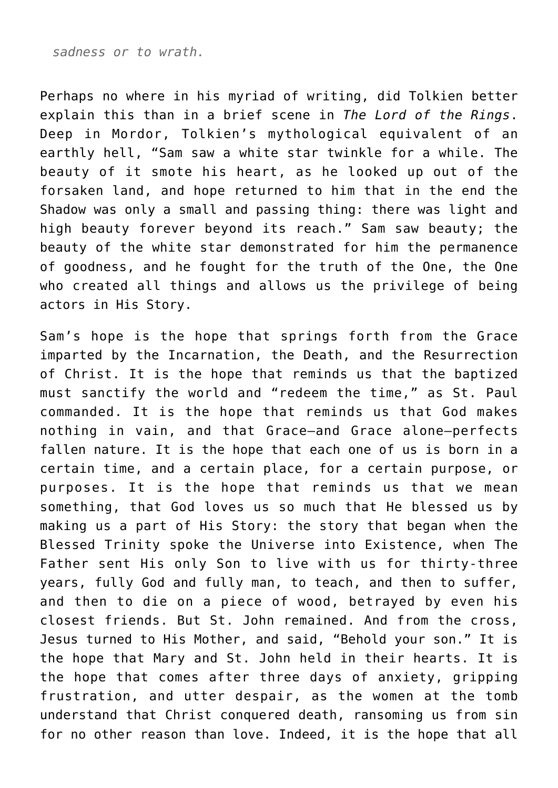*sadness or to wrath.*

Perhaps no where in his myriad of writing, did Tolkien better explain this than in a brief scene in *The Lord of the Rings*. Deep in Mordor, Tolkien's mythological equivalent of an earthly hell, "Sam saw a white star twinkle for a while. The beauty of it smote his heart, as he looked up out of the forsaken land, and hope returned to him that in the end the Shadow was only a small and passing thing: there was light and high beauty forever beyond its reach." Sam saw beauty; the beauty of the white star demonstrated for him the permanence of goodness, and he fought for the truth of the One, the One who created all things and allows us the privilege of being actors in His Story.

Sam's hope is the hope that springs forth from the Grace imparted by the Incarnation, the Death, and the Resurrection of Christ. It is the hope that reminds us that the baptized must sanctify the world and "redeem the time," as St. Paul commanded. It is the hope that reminds us that God makes nothing in vain, and that Grace–and Grace alone–perfects fallen nature. It is the hope that each one of us is born in a certain time, and a certain place, for a certain purpose, or purposes. It is the hope that reminds us that we mean something, that God loves us so much that He blessed us by making us a part of His Story: the story that began when the Blessed Trinity spoke the Universe into Existence, when The Father sent His only Son to live with us for thirty-three years, fully God and fully man, to teach, and then to suffer, and then to die on a piece of wood, betrayed by even his closest friends. But St. John remained. And from the cross, Jesus turned to His Mother, and said, "Behold your son." It is the hope that Mary and St. John held in their hearts. It is the hope that comes after three days of anxiety, gripping frustration, and utter despair, as the women at the tomb understand that Christ conquered death, ransoming us from sin for no other reason than love. Indeed, it is the hope that all